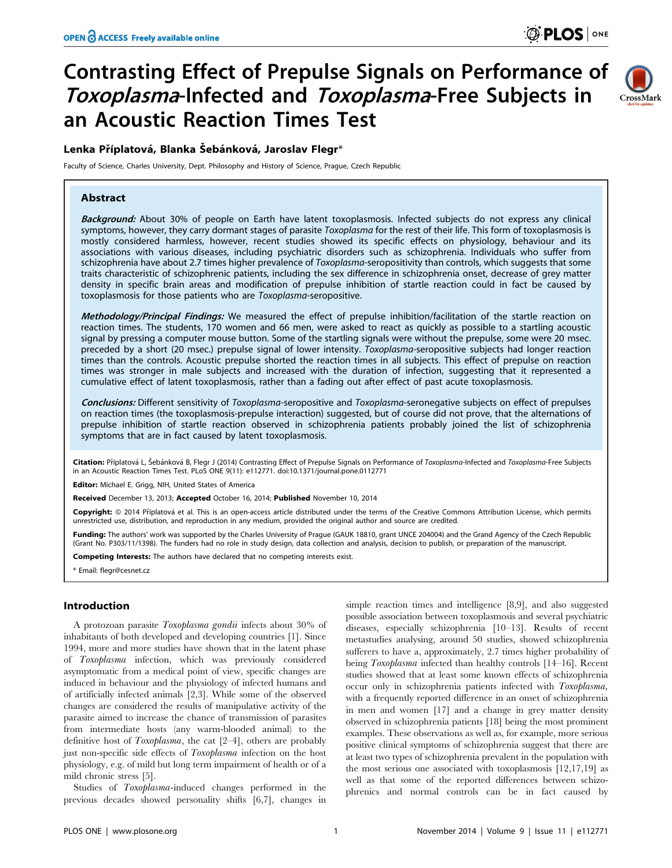# Contrasting Effect of Prepulse Signals on Performance of Toxoplasma-Infected and Toxoplasma-Free Subjects in an Acoustic Reaction Times Test

# CrossMark

# Lenka Příplatová, Blanka Šebánková, Jaroslav Flegr $^\ast$

Faculty of Science, Charles University, Dept. Philosophy and History of Science, Prague, Czech Republic

# Abstract

Background: About 30% of people on Earth have latent toxoplasmosis. Infected subjects do not express any clinical symptoms, however, they carry dormant stages of parasite Toxoplasma for the rest of their life. This form of toxoplasmosis is mostly considered harmless, however, recent studies showed its specific effects on physiology, behaviour and its associations with various diseases, including psychiatric disorders such as schizophrenia. Individuals who suffer from schizophrenia have about 2.7 times higher prevalence of Toxoplasma-seropositivity than controls, which suggests that some traits characteristic of schizophrenic patients, including the sex difference in schizophrenia onset, decrease of grey matter density in specific brain areas and modification of prepulse inhibition of startle reaction could in fact be caused by toxoplasmosis for those patients who are Toxoplasma-seropositive.

Methodology/Principal Findings: We measured the effect of prepulse inhibition/facilitation of the startle reaction on reaction times. The students, 170 women and 66 men, were asked to react as quickly as possible to a startling acoustic signal by pressing a computer mouse button. Some of the startling signals were without the prepulse, some were 20 msec. preceded by a short (20 msec.) prepulse signal of lower intensity. Toxoplasma-seropositive subjects had longer reaction times than the controls. Acoustic prepulse shorted the reaction times in all subjects. This effect of prepulse on reaction times was stronger in male subjects and increased with the duration of infection, suggesting that it represented a cumulative effect of latent toxoplasmosis, rather than a fading out after effect of past acute toxoplasmosis.

Conclusions: Different sensitivity of Toxoplasma-seropositive and Toxoplasma-seronegative subjects on effect of prepulses on reaction times (the toxoplasmosis-prepulse interaction) suggested, but of course did not prove, that the alternations of prepulse inhibition of startle reaction observed in schizophrenia patients probably joined the list of schizophrenia symptoms that are in fact caused by latent toxoplasmosis.

Citation: Příplatová L, Šebánková B, Flegr J (2014) Contrasting Effect of Prepulse Signals on Performance of Toxoplasma-Infected and Toxoplasma-Free Subjects in an Acoustic Reaction Times Test. PLoS ONE 9(11): e112771. doi:10.1371/journal.pone.0112771

Editor: Michael E. Grigg, NIH, United States of America

Received December 13, 2013; Accepted October 16, 2014; Published November 10, 2014

Copyright: © 2014 Příplatová et al. This is an open-access article distributed under the terms of the [Creative Commons Attribution License](http://creativecommons.org/licenses/by/4.0/), which permits unrestricted use, distribution, and reproduction in any medium, provided the original author and source are credited.

Funding: The authors' work was supported by the Charles University of Prague (GAUK 18810, grant UNCE 204004) and the Grand Agency of the Czech Republic (Grant No. P303/11/1398). The funders had no role in study design, data collection and analysis, decision to publish, or preparation of the manuscript.

Competing Interests: The authors have declared that no competing interests exist.

\* Email: flegr@cesnet.cz

# Introduction

A protozoan parasite Toxoplasma gondii infects about 30% of inhabitants of both developed and developing countries [1]. Since 1994, more and more studies have shown that in the latent phase of Toxoplasma infection, which was previously considered asymptomatic from a medical point of view, specific changes are induced in behaviour and the physiology of infected humans and of artificially infected animals [2,3]. While some of the observed changes are considered the results of manipulative activity of the parasite aimed to increase the chance of transmission of parasites from intermediate hosts (any warm-blooded animal) to the definitive host of Toxoplasma, the cat [2–4], others are probably just non-specific side effects of Toxoplasma infection on the host physiology, e.g. of mild but long term impairment of health or of a mild chronic stress [5].

Studies of Toxoplasma-induced changes performed in the previous decades showed personality shifts [6,7], changes in

simple reaction times and intelligence [8,9], and also suggested possible association between toxoplasmosis and several psychiatric diseases, especially schizophrenia [10–13]. Results of recent metastudies analysing, around 50 studies, showed schizophrenia sufferers to have a, approximately, 2.7 times higher probability of being Toxoplasma infected than healthy controls [14–16]. Recent studies showed that at least some known effects of schizophrenia occur only in schizophrenia patients infected with Toxoplasma, with a frequently reported difference in an onset of schizophrenia in men and women [17] and a change in grey matter density observed in schizophrenia patients [18] being the most prominent examples. These observations as well as, for example, more serious positive clinical symptoms of schizophrenia suggest that there are at least two types of schizophrenia prevalent in the population with the most serious one associated with toxoplasmosis [12,17,19] as well as that some of the reported differences between schizophrenics and normal controls can be in fact caused by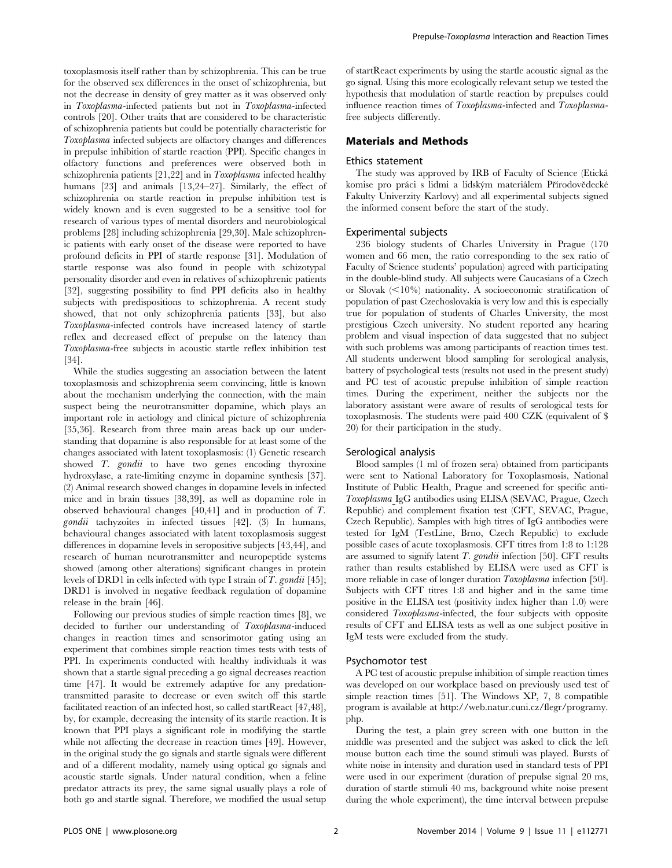toxoplasmosis itself rather than by schizophrenia. This can be true for the observed sex differences in the onset of schizophrenia, but not the decrease in density of grey matter as it was observed only in Toxoplasma-infected patients but not in Toxoplasma-infected controls [20]. Other traits that are considered to be characteristic of schizophrenia patients but could be potentially characteristic for Toxoplasma infected subjects are olfactory changes and differences in prepulse inhibition of startle reaction (PPI). Specific changes in olfactory functions and preferences were observed both in schizophrenia patients [21,22] and in Toxoplasma infected healthy humans [23] and animals [13,24-27]. Similarly, the effect of schizophrenia on startle reaction in prepulse inhibition test is widely known and is even suggested to be a sensitive tool for research of various types of mental disorders and neurobiological problems [28] including schizophrenia [29,30]. Male schizophrenic patients with early onset of the disease were reported to have profound deficits in PPI of startle response [31]. Modulation of startle response was also found in people with schizotypal personality disorder and even in relatives of schizophrenic patients [32], suggesting possibility to find PPI deficits also in healthy subjects with predispositions to schizophrenia. A recent study showed, that not only schizophrenia patients [33], but also Toxoplasma-infected controls have increased latency of startle reflex and decreased effect of prepulse on the latency than Toxoplasma-free subjects in acoustic startle reflex inhibition test [34].

While the studies suggesting an association between the latent toxoplasmosis and schizophrenia seem convincing, little is known about the mechanism underlying the connection, with the main suspect being the neurotransmitter dopamine, which plays an important role in aetiology and clinical picture of schizophrenia [35,36]. Research from three main areas back up our understanding that dopamine is also responsible for at least some of the changes associated with latent toxoplasmosis: (1) Genetic research showed T. gondii to have two genes encoding thyroxine hydroxylase, a rate-limiting enzyme in dopamine synthesis [37]. (2) Animal research showed changes in dopamine levels in infected mice and in brain tissues [38,39], as well as dopamine role in observed behavioural changes [40,41] and in production of T. gondii tachyzoites in infected tissues [42]. (3) In humans, behavioural changes associated with latent toxoplasmosis suggest differences in dopamine levels in seropositive subjects [43,44], and research of human neurotransmitter and neuropeptide systems showed (among other alterations) significant changes in protein levels of DRD1 in cells infected with type I strain of T. gondii [45]; DRD1 is involved in negative feedback regulation of dopamine release in the brain [46].

Following our previous studies of simple reaction times [8], we decided to further our understanding of Toxoplasma-induced changes in reaction times and sensorimotor gating using an experiment that combines simple reaction times tests with tests of PPI. In experiments conducted with healthy individuals it was shown that a startle signal preceding a go signal decreases reaction time [47]. It would be extremely adaptive for any predationtransmitted parasite to decrease or even switch off this startle facilitated reaction of an infected host, so called startReact [47,48], by, for example, decreasing the intensity of its startle reaction. It is known that PPI plays a significant role in modifying the startle while not affecting the decrease in reaction times [49]. However, in the original study the go signals and startle signals were different and of a different modality, namely using optical go signals and acoustic startle signals. Under natural condition, when a feline predator attracts its prey, the same signal usually plays a role of both go and startle signal. Therefore, we modified the usual setup of startReact experiments by using the startle acoustic signal as the go signal. Using this more ecologically relevant setup we tested the hypothesis that modulation of startle reaction by prepulses could influence reaction times of Toxoplasma-infected and Toxoplasmafree subjects differently.

#### Materials and Methods

#### Ethics statement

The study was approved by IRB of Faculty of Science (Eticka´ komise pro práci s lidmi a lidským materiálem Přírodovědecké Fakulty Univerzity Karlovy) and all experimental subjects signed the informed consent before the start of the study.

### Experimental subjects

236 biology students of Charles University in Prague (170 women and 66 men, the ratio corresponding to the sex ratio of Faculty of Science students' population) agreed with participating in the double-blind study. All subjects were Caucasians of a Czech or Slovak  $\langle$ <10%) nationality. A socioeconomic stratification of population of past Czechoslovakia is very low and this is especially true for population of students of Charles University, the most prestigious Czech university. No student reported any hearing problem and visual inspection of data suggested that no subject with such problems was among participants of reaction times test. All students underwent blood sampling for serological analysis, battery of psychological tests (results not used in the present study) and PC test of acoustic prepulse inhibition of simple reaction times. During the experiment, neither the subjects nor the laboratory assistant were aware of results of serological tests for toxoplasmosis. The students were paid 400 CZK (equivalent of \$ 20) for their participation in the study.

#### Serological analysis

Blood samples (1 ml of frozen sera) obtained from participants were sent to National Laboratory for Toxoplasmosis, National Institute of Public Health, Prague and screened for specific anti-Toxoplasma IgG antibodies using ELISA (SEVAC, Prague, Czech Republic) and complement fixation test (CFT, SEVAC, Prague, Czech Republic). Samples with high titres of IgG antibodies were tested for IgM (TestLine, Brno, Czech Republic) to exclude possible cases of acute toxoplasmosis. CFT titres from 1:8 to 1:128 are assumed to signify latent  $T.$   $gondii$  infection [50]. CFT results rather than results established by ELISA were used as CFT is more reliable in case of longer duration Toxoplasma infection [50]. Subjects with CFT titres 1:8 and higher and in the same time positive in the ELISA test (positivity index higher than 1.0) were considered Toxoplasma-infected, the four subjects with opposite results of CFT and ELISA tests as well as one subject positive in IgM tests were excluded from the study.

#### Psychomotor test

A PC test of acoustic prepulse inhibition of simple reaction times was developed on our workplace based on previously used test of simple reaction times [51]. The Windows XP, 7, 8 compatible program is available at [http://web.natur.cuni.cz/flegr/programy.](http://web.natur.cuni.cz/flegr/programy.php) [php](http://web.natur.cuni.cz/flegr/programy.php).

During the test, a plain grey screen with one button in the middle was presented and the subject was asked to click the left mouse button each time the sound stimuli was played. Bursts of white noise in intensity and duration used in standard tests of PPI were used in our experiment (duration of prepulse signal 20 ms, duration of startle stimuli 40 ms, background white noise present during the whole experiment), the time interval between prepulse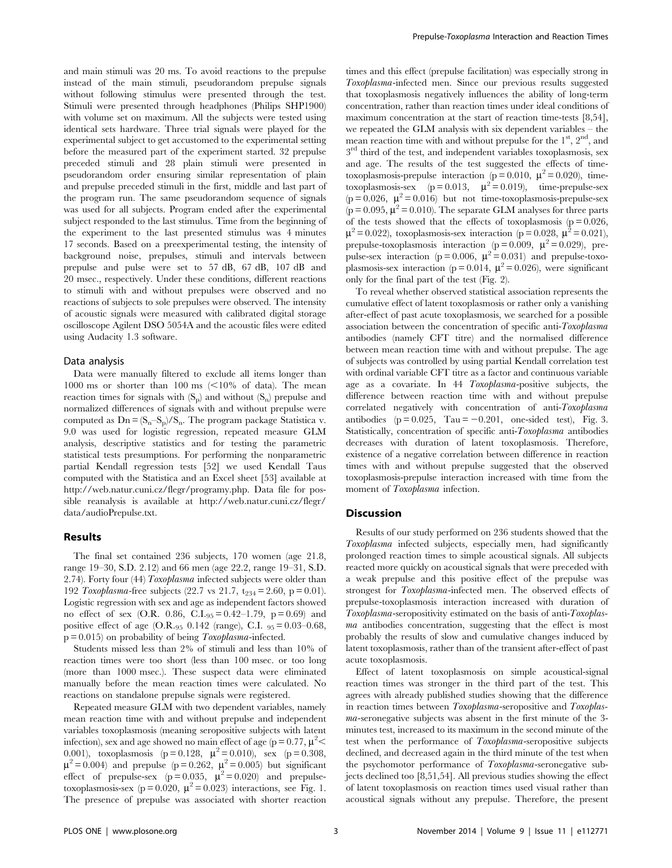and main stimuli was 20 ms. To avoid reactions to the prepulse instead of the main stimuli, pseudorandom prepulse signals without following stimulus were presented through the test. Stimuli were presented through headphones (Philips SHP1900) with volume set on maximum. All the subjects were tested using identical sets hardware. Three trial signals were played for the experimental subject to get accustomed to the experimental setting before the measured part of the experiment started. 32 prepulse preceded stimuli and 28 plain stimuli were presented in pseudorandom order ensuring similar representation of plain and prepulse preceded stimuli in the first, middle and last part of the program run. The same pseudorandom sequence of signals was used for all subjects. Program ended after the experimental subject responded to the last stimulus. Time from the beginning of the experiment to the last presented stimulus was 4 minutes 17 seconds. Based on a preexperimental testing, the intensity of background noise, prepulses, stimuli and intervals between prepulse and pulse were set to 57 dB, 67 dB, 107 dB and 20 msec., respectively. Under these conditions, different reactions to stimuli with and without prepulses were observed and no reactions of subjects to sole prepulses were observed. The intensity of acoustic signals were measured with calibrated digital storage oscilloscope Agilent DSO 5054A and the acoustic files were edited using Audacity 1.3 software.

#### Data analysis

Data were manually filtered to exclude all items longer than 1000 ms or shorter than 100 ms  $\leq 10\%$  of data). The mean reaction times for signals with  $(S_p)$  and without  $(S_n)$  prepulse and normalized differences of signals with and without prepulse were computed as  $Dn = (S_n-S_n)/S_n$ . The program package Statistica v. 9.0 was used for logistic regression, repeated measure GLM analysis, descriptive statistics and for testing the parametric statistical tests presumptions. For performing the nonparametric partial Kendall regression tests [52] we used Kendall Taus computed with the Statistica and an Excel sheet [53] available at http://web.natur.cuni.cz/flegr/programy.php. Data file for possible reanalysis is available at http://web.natur.cuni.cz/flegr/ data/audioPrepulse.txt.

## Results

The final set contained 236 subjects, 170 women (age 21.8, range 19–30, S.D. 2.12) and 66 men (age 22.2, range 19–31, S.D. 2.74). Forty four (44) Toxoplasma infected subjects were older than 192 Toxoplasma-free subjects (22.7 vs 21.7,  $t_{234} = 2.60$ , p = 0.01). Logistic regression with sex and age as independent factors showed no effect of sex (O.R. 0.86, C.I. $_{95} = 0.42 - 1.79$ , p = 0.69) and positive effect of age  $(O.R._{95} 0.142$  (range), C.I.  $_{95} = 0.03-0.68$ ,  $p = 0.015$  on probability of being Toxoplasma-infected.

Students missed less than 2% of stimuli and less than 10% of reaction times were too short (less than 100 msec. or too long (more than 1000 msec.). These suspect data were eliminated manually before the mean reaction times were calculated. No reactions on standalone prepulse signals were registered.

Repeated measure GLM with two dependent variables, namely mean reaction time with and without prepulse and independent variables toxoplasmosis (meaning seropositive subjects with latent infection), sex and age showed no main effect of age ( $p = 0.77$ ,  $\mu^2$  < 0.001), toxoplasmosis (p = 0.128,  $\mu^2 = 0.010$ ), sex (p = 0.308,  $\mu^2 = 0.004$ ) and prepulse (p = 0.262,  $\mu^2 = 0.005$ ) but significant effect of prepulse-sex  $(p=0.035, \mu^2=0.020)$  and prepulsetoxoplasmosis-sex (p = 0.020,  $\mu^2$  = 0.023) interactions, see Fig. 1. The presence of prepulse was associated with shorter reaction times and this effect (prepulse facilitation) was especially strong in Toxoplasma-infected men. Since our previous results suggested that toxoplasmosis negatively influences the ability of long-term concentration, rather than reaction times under ideal conditions of maximum concentration at the start of reaction time-tests [8,54], we repeated the GLM analysis with six dependent variables – the mean reaction time with and without prepulse for the  $1<sup>st</sup>$ ,  $2<sup>nd</sup>$ , and  $3<sup>rd</sup>$  third of the test, and independent variables toxoplasmosis, sex and age. The results of the test suggested the effects of timetoxoplasmosis-prepulse interaction ( $p = 0.010$ ,  $\mu^2 = 0.020$ ), timetoxoplasmosis-sex ( $p = 0.013$ ,  $\mu^2 = 0.019$ ), time-prepulse-sex (p = 0.026,  $\mu^2$  = 0.016) but not time-toxoplasmosis-prepulse-sex ( $p = 0.095$ ,  $\mu^2 = 0.010$ ). The separate GLM analyses for three parts of the tests showed that the effects of toxoplasmosis ( $p = 0.026$ ,  $\mu^2$  = 0.022), toxoplasmosis-sex interaction (p = 0.028,  $\mu^2$  = 0.021), prepulse-toxoplasmosis interaction ( $p = 0.009$ ,  $\mu^2 = 0.029$ ), prepulse-sex interaction ( $p = 0.006$ ,  $\mu^2 = 0.031$ ) and prepulse-toxoplasmosis-sex interaction ( $p = 0.014$ ,  $\mu^2 = 0.026$ ), were significant only for the final part of the test (Fig. 2).

To reveal whether observed statistical association represents the cumulative effect of latent toxoplasmosis or rather only a vanishing after-effect of past acute toxoplasmosis, we searched for a possible association between the concentration of specific anti-Toxoplasma antibodies (namely CFT titre) and the normalised difference between mean reaction time with and without prepulse. The age of subjects was controlled by using partial Kendall correlation test with ordinal variable CFT titre as a factor and continuous variable age as a covariate. In 44 Toxoplasma-positive subjects, the difference between reaction time with and without prepulse correlated negatively with concentration of anti-Toxoplasma antibodies ( $p = 0.025$ , Tau = -0.201, one-sided test), Fig. 3. Statistically, concentration of specific anti-Toxoplasma antibodies decreases with duration of latent toxoplasmosis. Therefore, existence of a negative correlation between difference in reaction times with and without prepulse suggested that the observed toxoplasmosis-prepulse interaction increased with time from the moment of Toxoplasma infection.

#### **Discussion**

Results of our study performed on 236 students showed that the Toxoplasma infected subjects, especially men, had significantly prolonged reaction times to simple acoustical signals. All subjects reacted more quickly on acoustical signals that were preceded with a weak prepulse and this positive effect of the prepulse was strongest for Toxoplasma-infected men. The observed effects of prepulse-toxoplasmosis interaction increased with duration of Toxoplasma-seropositivity estimated on the basis of anti-Toxoplasma antibodies concentration, suggesting that the effect is most probably the results of slow and cumulative changes induced by latent toxoplasmosis, rather than of the transient after-effect of past acute toxoplasmosis.

Effect of latent toxoplasmosis on simple acoustical-signal reaction times was stronger in the third part of the test. This agrees with already published studies showing that the difference in reaction times between Toxoplasma-seropositive and Toxoplasma-seronegative subjects was absent in the first minute of the 3 minutes test, increased to its maximum in the second minute of the test when the performance of Toxoplasma-seropositive subjects declined, and decreased again in the third minute of the test when the psychomotor performance of Toxoplasma-seronegative subjects declined too [8,51,54]. All previous studies showing the effect of latent toxoplasmosis on reaction times used visual rather than acoustical signals without any prepulse. Therefore, the present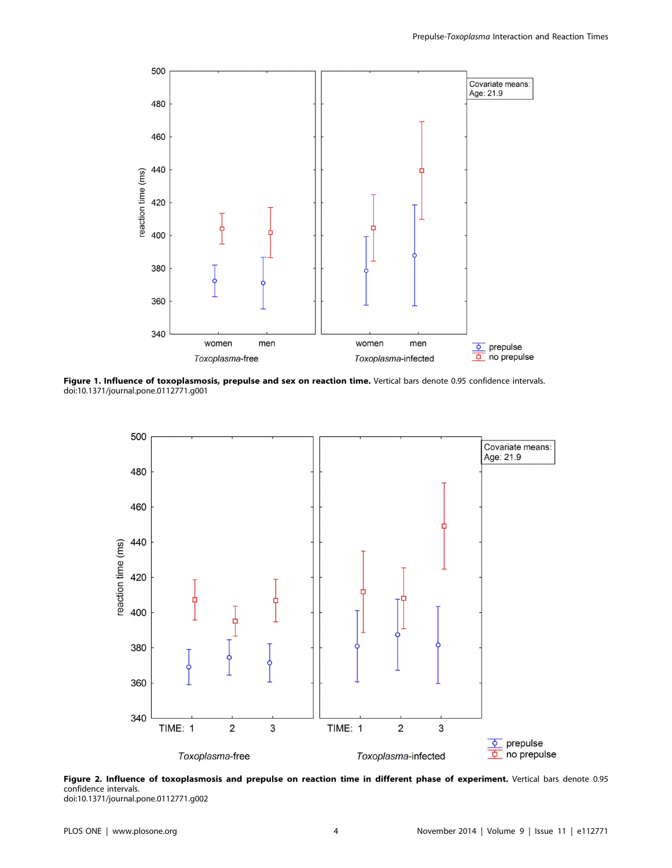

Figure 1. Influence of toxoplasmosis, prepulse and sex on reaction time. Vertical bars denote 0.95 confidence intervals. doi:10.1371/journal.pone.0112771.g001





doi:10.1371/journal.pone.0112771.g002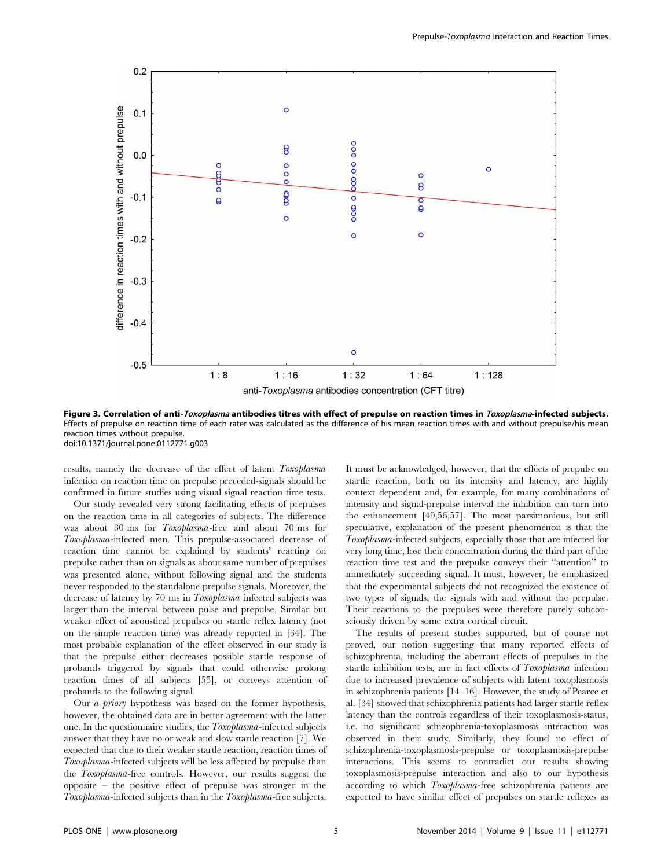

Figure 3. Correlation of anti-Toxoplasma antibodies titres with effect of prepulse on reaction times in Toxoplasma-infected subjects. Effects of prepulse on reaction time of each rater was calculated as the difference of his mean reaction times with and without prepulse/his mean reaction times without prepulse. doi:10.1371/journal.pone.0112771.g003

results, namely the decrease of the effect of latent Toxoplasma infection on reaction time on prepulse preceded-signals should be confirmed in future studies using visual signal reaction time tests.

Our study revealed very strong facilitating effects of prepulses on the reaction time in all categories of subjects. The difference was about 30 ms for Toxoplasma-free and about 70 ms for Toxoplasma-infected men. This prepulse-associated decrease of reaction time cannot be explained by students' reacting on prepulse rather than on signals as about same number of prepulses was presented alone, without following signal and the students never responded to the standalone prepulse signals. Moreover, the decrease of latency by 70 ms in Toxoplasma infected subjects was larger than the interval between pulse and prepulse. Similar but weaker effect of acoustical prepulses on startle reflex latency (not on the simple reaction time) was already reported in [34]. The most probable explanation of the effect observed in our study is that the prepulse either decreases possible startle response of probands triggered by signals that could otherwise prolong reaction times of all subjects [55], or conveys attention of probands to the following signal.

Our a priory hypothesis was based on the former hypothesis, however, the obtained data are in better agreement with the latter one. In the questionnaire studies, the Toxoplasma-infected subjects answer that they have no or weak and slow startle reaction [7]. We expected that due to their weaker startle reaction, reaction times of Toxoplasma-infected subjects will be less affected by prepulse than the Toxoplasma-free controls. However, our results suggest the opposite – the positive effect of prepulse was stronger in the Toxoplasma-infected subjects than in the Toxoplasma-free subjects.

It must be acknowledged, however, that the effects of prepulse on startle reaction, both on its intensity and latency, are highly context dependent and, for example, for many combinations of intensity and signal-prepulse interval the inhibition can turn into the enhancement [49,56,57]. The most parsimonious, but still speculative, explanation of the present phenomenon is that the Toxoplasma-infected subjects, especially those that are infected for very long time, lose their concentration during the third part of the reaction time test and the prepulse conveys their ''attention'' to immediately succeeding signal. It must, however, be emphasized that the experimental subjects did not recognized the existence of two types of signals, the signals with and without the prepulse. Their reactions to the prepulses were therefore purely subconsciously driven by some extra cortical circuit.

The results of present studies supported, but of course not proved, our notion suggesting that many reported effects of schizophrenia, including the aberrant effects of prepulses in the startle inhibition tests, are in fact effects of Toxoplasma infection due to increased prevalence of subjects with latent toxoplasmosis in schizophrenia patients [14–16]. However, the study of Pearce et al. [34] showed that schizophrenia patients had larger startle reflex latency than the controls regardless of their toxoplasmosis-status, i.e. no significant schizophrenia-toxoplasmosis interaction was observed in their study. Similarly, they found no effect of schizophrenia-toxoplasmosis-prepulse or toxoplasmosis-prepulse interactions. This seems to contradict our results showing toxoplasmosis-prepulse interaction and also to our hypothesis according to which Toxoplasma-free schizophrenia patients are expected to have similar effect of prepulses on startle reflexes as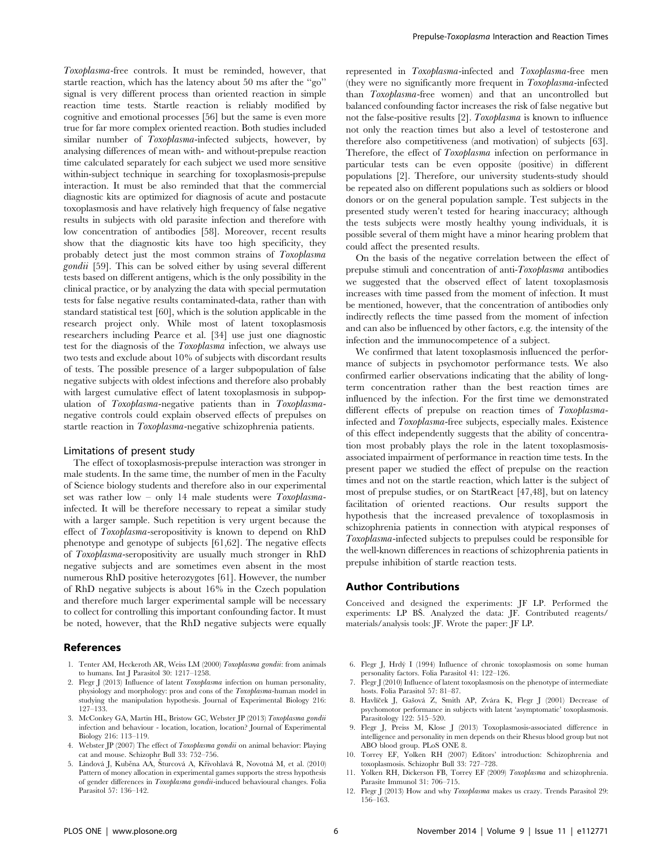Toxoplasma-free controls. It must be reminded, however, that startle reaction, which has the latency about 50 ms after the ''go'' signal is very different process than oriented reaction in simple reaction time tests. Startle reaction is reliably modified by cognitive and emotional processes [56] but the same is even more true for far more complex oriented reaction. Both studies included similar number of Toxoplasma-infected subjects, however, by analysing differences of mean with- and without-prepulse reaction time calculated separately for each subject we used more sensitive within-subject technique in searching for toxoplasmosis-prepulse interaction. It must be also reminded that that the commercial diagnostic kits are optimized for diagnosis of acute and postacute toxoplasmosis and have relatively high frequency of false negative results in subjects with old parasite infection and therefore with low concentration of antibodies [58]. Moreover, recent results show that the diagnostic kits have too high specificity, they probably detect just the most common strains of Toxoplasma gondii [59]. This can be solved either by using several different tests based on different antigens, which is the only possibility in the clinical practice, or by analyzing the data with special permutation tests for false negative results contaminated-data, rather than with standard statistical test [60], which is the solution applicable in the research project only. While most of latent toxoplasmosis researchers including Pearce et al. [34] use just one diagnostic test for the diagnosis of the Toxoplasma infection, we always use two tests and exclude about 10% of subjects with discordant results of tests. The possible presence of a larger subpopulation of false negative subjects with oldest infections and therefore also probably with largest cumulative effect of latent toxoplasmosis in subpopulation of Toxoplasma-negative patients than in Toxoplasmanegative controls could explain observed effects of prepulses on startle reaction in Toxoplasma-negative schizophrenia patients.

#### Limitations of present study

The effect of toxoplasmosis-prepulse interaction was stronger in male students. In the same time, the number of men in the Faculty of Science biology students and therefore also in our experimental set was rather low – only 14 male students were  $Toxoplasma$ infected. It will be therefore necessary to repeat a similar study with a larger sample. Such repetition is very urgent because the effect of Toxoplasma-seropositivity is known to depend on RhD phenotype and genotype of subjects [61,62]. The negative effects of Toxoplasma-seropositivity are usually much stronger in RhD negative subjects and are sometimes even absent in the most numerous RhD positive heterozygotes [61]. However, the number of RhD negative subjects is about 16% in the Czech population and therefore much larger experimental sample will be necessary to collect for controlling this important confounding factor. It must be noted, however, that the RhD negative subjects were equally

# References

- 1. Tenter AM, Heckeroth AR, Weiss LM (2000) Toxoplasma gondii: from animals to humans. Int J Parasitol 30: 1217–1258.
- 2. Flegr J (2013) Influence of latent Toxoplasma infection on human personality, physiology and morphology: pros and cons of the Toxoplasma-human model in studying the manipulation hypothesis. Journal of Experimental Biology 216: 127–133.
- 3. McConkey GA, Martin HL, Bristow GC, Webster JP (2013) Toxoplasma gondii infection and behaviour - location, location, location? Journal of Experimental Biology 216: 113–119.
- 4. Webster JP (2007) The effect of Toxoplasma gondii on animal behavior: Playing cat and mouse. Schizophr Bull 33: 752–756.
- 5. Lindová J, Kuběna AA, Šturcová A, Křivohlavá R, Novotná M, et al. (2010) Pattern of money allocation in experimental games supports the stress hypothesis of gender differences in Toxoplasma gondii-induced behavioural changes. Folia Parasitol 57: 136–142.

represented in Toxoplasma-infected and Toxoplasma-free men (they were no significantly more frequent in Toxoplasma-infected than Toxoplasma-free women) and that an uncontrolled but balanced confounding factor increases the risk of false negative but not the false-positive results [2]. Toxoplasma is known to influence not only the reaction times but also a level of testosterone and therefore also competitiveness (and motivation) of subjects [63]. Therefore, the effect of Toxoplasma infection on performance in particular tests can be even opposite (positive) in different populations [2]. Therefore, our university students-study should be repeated also on different populations such as soldiers or blood donors or on the general population sample. Test subjects in the presented study weren't tested for hearing inaccuracy; although the tests subjects were mostly healthy young individuals, it is possible several of them might have a minor hearing problem that could affect the presented results.

On the basis of the negative correlation between the effect of prepulse stimuli and concentration of anti-Toxoplasma antibodies we suggested that the observed effect of latent toxoplasmosis increases with time passed from the moment of infection. It must be mentioned, however, that the concentration of antibodies only indirectly reflects the time passed from the moment of infection and can also be influenced by other factors, e.g. the intensity of the infection and the immunocompetence of a subject.

We confirmed that latent toxoplasmosis influenced the performance of subjects in psychomotor performance tests. We also confirmed earlier observations indicating that the ability of longterm concentration rather than the best reaction times are influenced by the infection. For the first time we demonstrated different effects of prepulse on reaction times of Toxoplasmainfected and Toxoplasma-free subjects, especially males. Existence of this effect independently suggests that the ability of concentration most probably plays the role in the latent toxoplasmosisassociated impairment of performance in reaction time tests. In the present paper we studied the effect of prepulse on the reaction times and not on the startle reaction, which latter is the subject of most of prepulse studies, or on StartReact [47,48], but on latency facilitation of oriented reactions. Our results support the hypothesis that the increased prevalence of toxoplasmosis in schizophrenia patients in connection with atypical responses of Toxoplasma-infected subjects to prepulses could be responsible for the well-known differences in reactions of schizophrenia patients in prepulse inhibition of startle reaction tests.

# Author Contributions

Conceived and designed the experiments: JF LP. Performed the experiments: LP BŠ. Analyzed the data: JF. Contributed reagents/ materials/analysis tools: JF. Wrote the paper: JF LP.

- 6. Flegr J, Hrdy´ I (1994) Influence of chronic toxoplasmosis on some human personality factors. Folia Parasitol 41: 122–126.
- 7. Flegr J (2010) Influence of latent toxoplasmosis on the phenotype of intermediate hosts. Folia Parasitol 57: 81–87.
- 8. Havlíček J, Gašová Z, Smith AP, Zvára K, Flegr J (2001) Decrease of psychomotor performance in subjects with latent 'asymptomatic' toxoplasmosis. Parasitology 122: 515–520.
- 9. Flegr J, Preiss M, Klose J (2013) Toxoplasmosis-associated difference in intelligence and personality in men depends on their Rhesus blood group but not ABO blood group. PLoS ONE 8.
- 10. Torrey EF, Yolken RH (2007) Editors' introduction: Schizophrenia and toxoplasmosis. Schizophr Bull 33: 727–728.
- 11. Yolken RH, Dickerson FB, Torrey EF (2009) Toxoplasma and schizophrenia. Parasite Immunol 31: 706–715.
- 12. Flegr J (2013) How and why Toxoplasma makes us crazy. Trends Parasitol 29: 156–163.